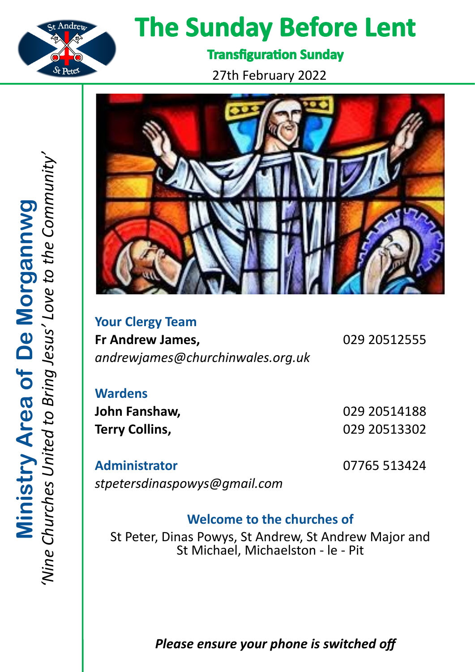

# **The Sunday Before Lent**

**Transfiguration Sunday** 

27th February 2022



**Your Clergy Team Fr Andrew James,** 029 20512555 *andrewjames@churchinwales.org.uk*

**Wardens**

**John Fanshaw,** 029 20514188 **Terry Collins,** 029 20513302

**Administrator** 07765 513424 *stpetersdinaspowys@gmail.com*

# **Welcome to the churches of**

St Peter, Dinas Powys, St Andrew, St Andrew Major and St Michael, Michaelston - le - Pit

*Please ensure your phone is switched off*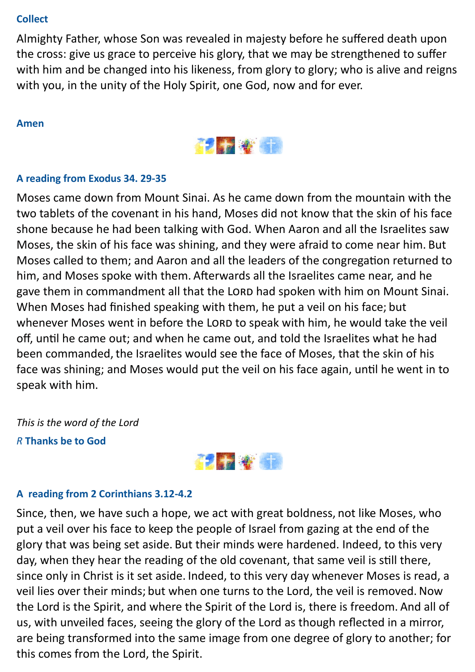# **Collect**

Almighty Father, whose Son was revealed in majesty before he suffered death upon the cross: give us grace to perceive his glory, that we may be strengthened to suffer with him and be changed into his likeness, from glory to glory; who is alive and reigns with you, in the unity of the Holy Spirit, one God, now and for ever.

#### **Amen**



# **A reading from Exodus 34. 29-35**

Moses came down from Mount Sinai. As he came down from the mountain with the two tablets of the covenant in his hand, Moses did not know that the skin of his face shone because he had been talking with God. When Aaron and all the Israelites saw Moses, the skin of his face was shining, and they were afraid to come near him. But Moses called to them; and Aaron and all the leaders of the congregation returned to him, and Moses spoke with them. Afterwards all the Israelites came near, and he gave them in commandment all that the LORD had spoken with him on Mount Sinai. When Moses had finished speaking with them, he put a veil on his face; but whenever Moses went in before the LORD to speak with him, he would take the veil off, until he came out; and when he came out, and told the Israelites what he had been commanded, the Israelites would see the face of Moses, that the skin of his face was shining; and Moses would put the veil on his face again, until he went in to speak with him.

*This is the word of the Lord R* **Thanks be to God**



#### **A reading from 2 Corinthians 3.12-4.2**

Since, then, we have such a hope, we act with great boldness, not like Moses, who put a veil over his face to keep the people of Israel from gazing at the end of the glory that was being set aside. But their minds were hardened. Indeed, to this very day, when they hear the reading of the old covenant, that same veil is still there, since only in Christ is it set aside. Indeed, to this very day whenever Moses is read, a veil lies over their minds; but when one turns to the Lord, the veil is removed. Now the Lord is the Spirit, and where the Spirit of the Lord is, there is freedom. And all of us, with unveiled faces, seeing the glory of the Lord as though reflected in a mirror, are being transformed into the same image from one degree of glory to another; for this comes from the Lord, the Spirit.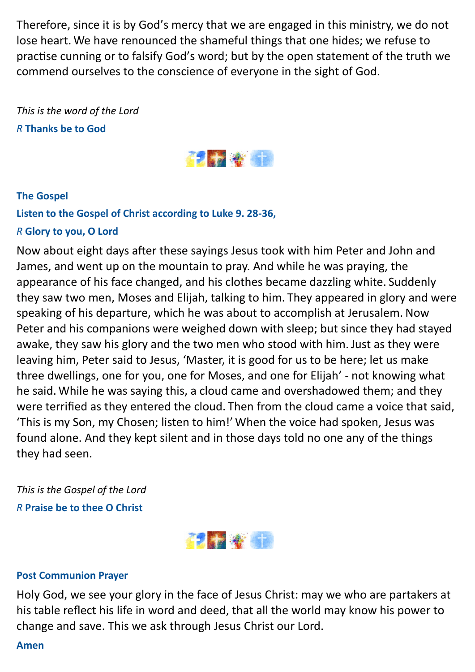Therefore, since it is by God's mercy that we are engaged in this ministry, we do not lose heart. We have renounced the shameful things that one hides; we refuse to practise cunning or to falsify God's word; but by the open statement of the truth we commend ourselves to the conscience of everyone in the sight of God.

*This is the word of the Lord R* **Thanks be to God**



# **The Gospel**

# **Listen to the Gospel of Christ according to Luke 9. 28-36,**

# *R* **Glory to you, O Lord**

Now about eight days after these sayings Jesus took with him Peter and John and James, and went up on the mountain to pray. And while he was praying, the appearance of his face changed, and his clothes became dazzling white. Suddenly they saw two men, Moses and Elijah, talking to him. They appeared in glory and were speaking of his departure, which he was about to accomplish at Jerusalem. Now Peter and his companions were weighed down with sleep; but since they had stayed awake, they saw his glory and the two men who stood with him. Just as they were leaving him, Peter said to Jesus, 'Master, it is good for us to be here; let us make three dwellings, one for you, one for Moses, and one for Elijah' - not knowing what he said. While he was saying this, a cloud came and overshadowed them; and they were terrified as they entered the cloud. Then from the cloud came a voice that said, 'This is my Son, my Chosen; listen to him!' When the voice had spoken, Jesus was found alone. And they kept silent and in those days told no one any of the things they had seen.

*This is the Gospel of the Lord R* **Praise be to thee O Christ**



#### **Post Communion Prayer**

Holy God, we see your glory in the face of Jesus Christ: may we who are partakers at his table reflect his life in word and deed, that all the world may know his power to change and save. This we ask through Jesus Christ our Lord.

**Amen**